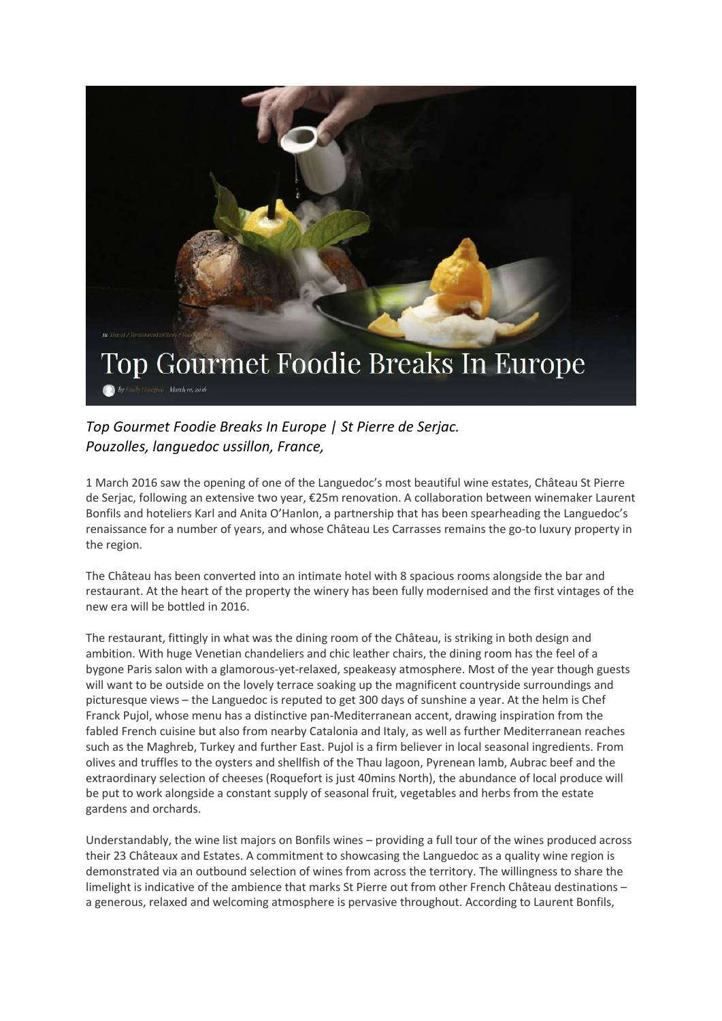

## *Top Gourmet Foodie Breaks In Europe | St Pierre de Serjac. Pouzolles, languedoc ussillon, France,*

1 March 2016 saw the opening of one of the Languedoc's most beautiful wine estates, Château St Pierre de Serjac, following an extensive two year, €25m renovation. A collaboration between winemaker Laurent Bonfils and hoteliers Karl and Anita O'Hanlon, a partnership that has been spearheading the Languedoc's renaissance for a number of years, and whose Château Les Carrasses remains the go-to luxury property in the region.

The Château has been converted into an intimate hotel with 8 spacious rooms alongside the bar and restaurant. At the heart of the property the winery has been fully modernised and the first vintages of the new era will be bottled in 2016.

The restaurant, fittingly in what was the dining room of the Château, is striking in both design and ambition. With huge Venetian chandeliers and chic leather chairs, the dining room has the feel of a bygone Paris salon with a glamorous-yet-relaxed, speakeasy atmosphere. Most of the year though guests will want to be outside on the lovely terrace soaking up the magnificent countryside surroundings and picturesque views – the Languedoc is reputed to get 300 days of sunshine a year. At the helm is Chef Franck Pujol, whose menu has a distinctive pan-Mediterranean accent, drawing inspiration from the fabled French cuisine but also from nearby Catalonia and Italy, as well as further Mediterranean reaches such as the Maghreb, Turkey and further East. Pujol is a firm believer in local seasonal ingredients. From olives and truffles to the oysters and shellfish of the Thau lagoon, Pyrenean lamb, Aubrac beef and the extraordinary selection of cheeses (Roquefort is just 40mins North), the abundance of local produce will be put to work alongside a constant supply of seasonal fruit, vegetables and herbs from the estate gardens and orchards.

Understandably, the wine list majors on Bonfils wines – providing a full tour of the wines produced across their 23 Châteaux and Estates. A commitment to showcasing the Languedoc as a quality wine region is demonstrated via an outbound selection of wines from across the territory. The willingness to share the limelight is indicative of the ambience that marks St Pierre out from other French Château destinations – a generous, relaxed and welcoming atmosphere is pervasive throughout. According to Laurent Bonfils,